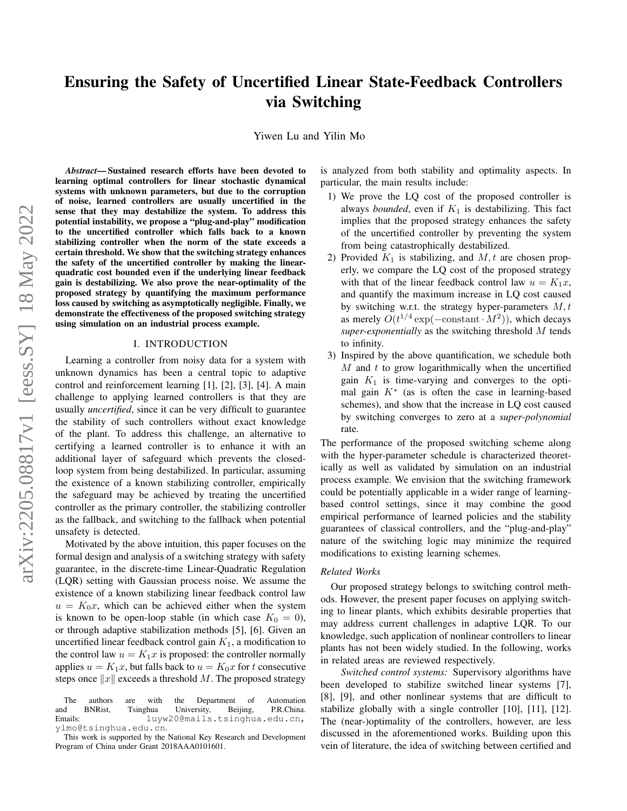# Ensuring the Safety of Uncertified Linear State-Feedback Controllers via Switching

Yiwen Lu and Yilin Mo

*Abstract*— Sustained research efforts have been devoted to learning optimal controllers for linear stochastic dynamical systems with unknown parameters, but due to the corruption of noise, learned controllers are usually uncertified in the sense that they may destabilize the system. To address this potential instability, we propose a "plug-and-play" modification to the uncertified controller which falls back to a known stabilizing controller when the norm of the state exceeds a certain threshold. We show that the switching strategy enhances the safety of the uncertified controller by making the linearquadratic cost bounded even if the underlying linear feedback gain is destabilizing. We also prove the near-optimality of the proposed strategy by quantifying the maximum performance loss caused by switching as asymptotically negligible. Finally, we demonstrate the effectiveness of the proposed switching strategy using simulation on an industrial process example.

## I. INTRODUCTION

Learning a controller from noisy data for a system with unknown dynamics has been a central topic to adaptive control and reinforcement learning [1], [2], [3], [4]. A main challenge to applying learned controllers is that they are usually *uncertified*, since it can be very difficult to guarantee the stability of such controllers without exact knowledge of the plant. To address this challenge, an alternative to certifying a learned controller is to enhance it with an additional layer of safeguard which prevents the closedloop system from being destabilized. In particular, assuming the existence of a known stabilizing controller, empirically the safeguard may be achieved by treating the uncertified controller as the primary controller, the stabilizing controller as the fallback, and switching to the fallback when potential unsafety is detected.

Motivated by the above intuition, this paper focuses on the formal design and analysis of a switching strategy with safety guarantee, in the discrete-time Linear-Quadratic Regulation (LQR) setting with Gaussian process noise. We assume the existence of a known stabilizing linear feedback control law  $u = K_0x$ , which can be achieved either when the system is known to be open-loop stable (in which case  $K_0 = 0$ ), or through adaptive stabilization methods [5], [6]. Given an uncertified linear feedback control gain  $K_1$ , a modification to the control law  $u = K_1x$  is proposed: the controller normally applies  $u = K_1x$ , but falls back to  $u = K_0x$  for t consecutive steps once  $||x||$  exceeds a threshold M. The proposed strategy

is analyzed from both stability and optimality aspects. In particular, the main results include:

- 1) We prove the LQ cost of the proposed controller is always *bounded*, even if  $K_1$  is destabilizing. This fact implies that the proposed strategy enhances the safety of the uncertified controller by preventing the system from being catastrophically destabilized.
- 2) Provided  $K_1$  is stabilizing, and  $M, t$  are chosen properly, we compare the LQ cost of the proposed strategy with that of the linear feedback control law  $u = K_1x$ , and quantify the maximum increase in LQ cost caused by switching w.r.t. the strategy hyper-parameters  $M, t$ as merely  $O(t^{1/4} \exp(-\text{constant} \cdot M^2))$ , which decays *super-exponentially* as the switching threshold M tends to infinity.
- 3) Inspired by the above quantification, we schedule both  $M$  and  $t$  to grow logarithmically when the uncertified gain  $K_1$  is time-varying and converges to the optimal gain  $K^*$  (as is often the case in learning-based schemes), and show that the increase in LQ cost caused by switching converges to zero at a *super-polynomial* rate.

The performance of the proposed switching scheme along with the hyper-parameter schedule is characterized theoretically as well as validated by simulation on an industrial process example. We envision that the switching framework could be potentially applicable in a wider range of learningbased control settings, since it may combine the good empirical performance of learned policies and the stability guarantees of classical controllers, and the "plug-and-play" nature of the switching logic may minimize the required modifications to existing learning schemes.

### *Related Works*

Our proposed strategy belongs to switching control methods. However, the present paper focuses on applying switching to linear plants, which exhibits desirable properties that may address current challenges in adaptive LQR. To our knowledge, such application of nonlinear controllers to linear plants has not been widely studied. In the following, works in related areas are reviewed respectively.

*Switched control systems:* Supervisory algorithms have been developed to stabilize switched linear systems [7], [8], [9], and other nonlinear systems that are difficult to stabilize globally with a single controller [10], [11], [12]. The (near-)optimality of the controllers, however, are less discussed in the aforementioned works. Building upon this vein of literature, the idea of switching between certified and

The authors are with the Department of Automation and BNRist, Tsinghua University, Beijing, P.R.China.<br>Emails: luyw20@mails.tsinghua.edu.cn, luyw20@mails.tsinghua.edu.cn, ylmo@tsinghua.edu.cn.

This work is supported by the National Key Research and Development Program of China under Grant 2018AAA0101601.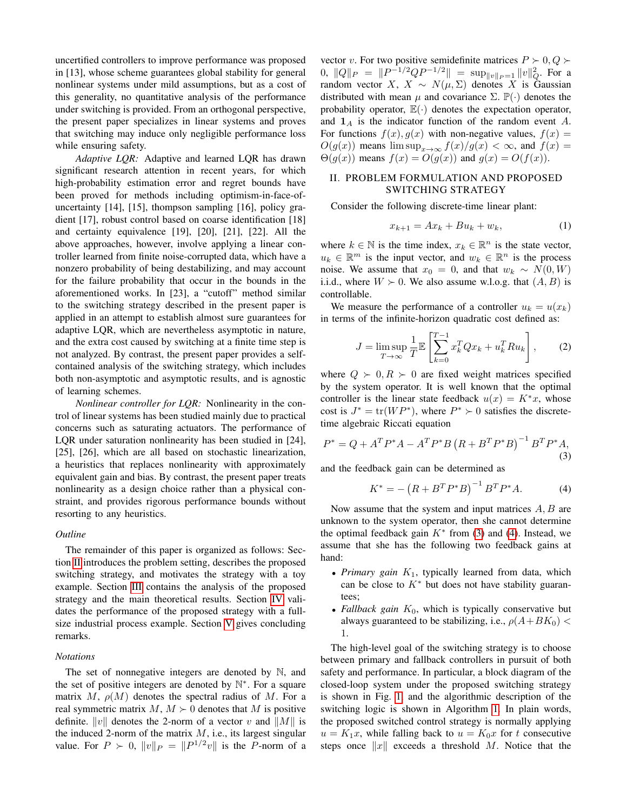uncertified controllers to improve performance was proposed in [13], whose scheme guarantees global stability for general nonlinear systems under mild assumptions, but as a cost of this generality, no quantitative analysis of the performance under switching is provided. From an orthogonal perspective, the present paper specializes in linear systems and proves that switching may induce only negligible performance loss while ensuring safety.

*Adaptive LQR:* Adaptive and learned LQR has drawn significant research attention in recent years, for which high-probability estimation error and regret bounds have been proved for methods including optimism-in-face-ofuncertainty [14], [15], thompson sampling [16], policy gradient [17], robust control based on coarse identification [18] and certainty equivalence [19], [20], [21], [22]. All the above approaches, however, involve applying a linear controller learned from finite noise-corrupted data, which have a nonzero probability of being destabilizing, and may account for the failure probability that occur in the bounds in the aforementioned works. In [23], a "cutoff" method similar to the switching strategy described in the present paper is applied in an attempt to establish almost sure guarantees for adaptive LQR, which are nevertheless asymptotic in nature, and the extra cost caused by switching at a finite time step is not analyzed. By contrast, the present paper provides a selfcontained analysis of the switching strategy, which includes both non-asymptotic and asymptotic results, and is agnostic of learning schemes.

*Nonlinear controller for LQR:* Nonlinearity in the control of linear systems has been studied mainly due to practical concerns such as saturating actuators. The performance of LQR under saturation nonlinearity has been studied in [24], [25], [26], which are all based on stochastic linearization, a heuristics that replaces nonlinearity with approximately equivalent gain and bias. By contrast, the present paper treats nonlinearity as a design choice rather than a physical constraint, and provides rigorous performance bounds without resorting to any heuristics.

## *Outline*

The remainder of this paper is organized as follows: Section [II](#page-1-0) introduces the problem setting, describes the proposed switching strategy, and motivates the strategy with a toy example. Section [III](#page-3-0) contains the analysis of the proposed strategy and the main theoretical results. Section [IV](#page-4-0) validates the performance of the proposed strategy with a fullsize industrial process example. Section [V](#page-5-0) gives concluding remarks.

#### *Notations*

The set of nonnegative integers are denoted by N, and the set of positive integers are denoted by N ∗ . For a square matrix M,  $\rho(M)$  denotes the spectral radius of M. For a real symmetric matrix  $M, M \succ 0$  denotes that M is positive definite.  $||v||$  denotes the 2-norm of a vector v and  $||M||$  is the induced 2-norm of the matrix  $M$ , i.e., its largest singular value. For  $P \succ 0$ ,  $||v||_P = ||P^{1/2}v||$  is the P-norm of a

vector v. For two positive semidefinite matrices  $P \succ 0, Q \succ$  $0, \|Q\|_P = \|P^{-1/2}QP^{-1/2}\| = \sup_{\|v\|_P = 1} \|v\|_Q^2.$  For a random vector X,  $X \sim N(\mu, \Sigma)$  denotes X is Gaussian distributed with mean  $\mu$  and covariance  $\Sigma$ .  $\mathbb{P}(\cdot)$  denotes the probability operator,  $\mathbb{E}(\cdot)$  denotes the expectation operator, and  $1_A$  is the indicator function of the random event A. For functions  $f(x)$ ,  $g(x)$  with non-negative values,  $f(x) =$  $O(g(x))$  means  $\limsup_{x\to\infty} f(x)/g(x) < \infty$ , and  $f(x) =$  $\Theta(g(x))$  means  $f(x) = O(g(x))$  and  $g(x) = O(f(x))$ .

# <span id="page-1-0"></span>II. PROBLEM FORMULATION AND PROPOSED SWITCHING STRATEGY

Consider the following discrete-time linear plant:

<span id="page-1-3"></span>
$$
x_{k+1} = Ax_k + Bu_k + w_k, \t\t(1)
$$

where  $k \in \mathbb{N}$  is the time index,  $x_k \in \mathbb{R}^n$  is the state vector,  $u_k \in \mathbb{R}^m$  is the input vector, and  $w_k \in \mathbb{R}^n$  is the process noise. We assume that  $x_0 = 0$ , and that  $w_k \sim N(0, W)$ i.i.d., where  $W \succ 0$ . We also assume w.l.o.g. that  $(A, B)$  is controllable.

We measure the performance of a controller  $u_k = u(x_k)$ in terms of the infinite-horizon quadratic cost defined as:

<span id="page-1-4"></span>
$$
J = \limsup_{T \to \infty} \frac{1}{T} \mathbb{E} \left[ \sum_{k=0}^{T-1} x_k^T Q x_k + u_k^T R u_k \right],\tag{2}
$$

where  $Q \succ 0, R \succ 0$  are fixed weight matrices specified by the system operator. It is well known that the optimal controller is the linear state feedback  $u(x) = K^*x$ , whose cost is  $J^* = \text{tr}(WP^*)$ , where  $P^* \succ 0$  satisfies the discretetime algebraic Riccati equation

<span id="page-1-1"></span>
$$
P^* = Q + A^T P^* A - A^T P^* B (R + B^T P^* B)^{-1} B^T P^* A,
$$
\n(3)

and the feedback gain can be determined as

<span id="page-1-2"></span>
$$
K^* = -\left(R + B^T P^* B\right)^{-1} B^T P^* A. \tag{4}
$$

Now assume that the system and input matrices  $A, B$  are unknown to the system operator, then she cannot determine the optimal feedback gain  $K^*$  from [\(3\)](#page-1-1) and [\(4\)](#page-1-2). Instead, we assume that she has the following two feedback gains at hand:

- *Primary gain*  $K_1$ , typically learned from data, which can be close to  $K^*$  but does not have stability guarantees;
- *Fallback gain*  $K_0$ , which is typically conservative but always guaranteed to be stabilizing, i.e.,  $\rho(A+BK_0)$  < 1.

The high-level goal of the switching strategy is to choose between primary and fallback controllers in pursuit of both safety and performance. In particular, a block diagram of the closed-loop system under the proposed switching strategy is shown in Fig. [1,](#page-2-0) and the algorithmic description of the switching logic is shown in Algorithm [1.](#page-2-1) In plain words, the proposed switched control strategy is normally applying  $u = K_1x$ , while falling back to  $u = K_0x$  for t consecutive steps once  $||x||$  exceeds a threshold M. Notice that the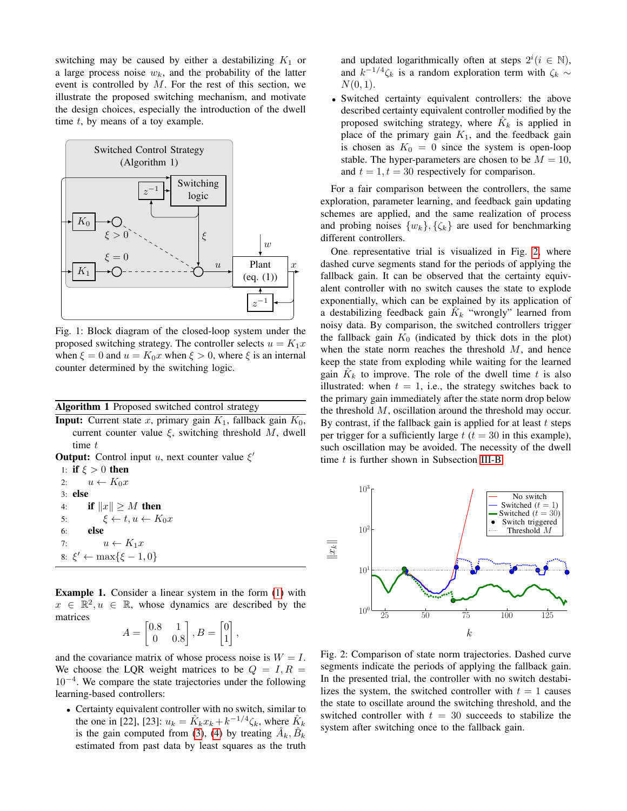switching may be caused by either a destabilizing  $K_1$  or a large process noise  $w_k$ , and the probability of the latter event is controlled by  $M$ . For the rest of this section, we illustrate the proposed switching mechanism, and motivate the design choices, especially the introduction of the dwell time  $t$ , by means of a toy example.

<span id="page-2-0"></span>

Fig. 1: Block diagram of the closed-loop system under the proposed switching strategy. The controller selects  $u = K_1x$ when  $\xi = 0$  and  $u = K_0x$  when  $\xi > 0$ , where  $\xi$  is an internal counter determined by the switching logic.

# <span id="page-2-1"></span>Algorithm 1 Proposed switched control strategy

**Input:** Current state x, primary gain  $K_1$ , fallback gain  $K_0$ , current counter value  $\xi$ , switching threshold M, dwell time  $t$ 

**Output:** Control input u, next counter value  $\xi'$ 

1: if  $\xi > 0$  then 2:  $u \leftarrow K_0 x$ <br>3: **else** else 4: **if**  $||x|| \geq M$  then<br>5:  $\xi \leftarrow t, u \leftarrow K$ 5:  $\xi \leftarrow t, u \leftarrow K_0 x$ <br>6: **else** else 7:  $u \leftarrow K_1 x$ 8:  $\xi' \leftarrow \max\{\xi - 1, 0\}$ 

Example 1. Consider a linear system in the form [\(1\)](#page-1-3) with  $x \in \mathbb{R}^2, u \in \mathbb{R}$ , whose dynamics are described by the matrices

$$
A = \begin{bmatrix} 0.8 & 1 \\ 0 & 0.8 \end{bmatrix}, B = \begin{bmatrix} 0 \\ 1 \end{bmatrix}
$$

,

and the covariance matrix of whose process noise is  $W = I$ . We choose the LQR weight matrices to be  $Q = I, R =$ 10−<sup>4</sup> . We compare the state trajectories under the following learning-based controllers:

• Certainty equivalent controller with no switch, similar to the one in [22], [23]:  $u_k = \hat{K}_k x_k + k^{-1/4} \zeta_k$ , where  $\hat{K}_k$ is the gain computed from [\(3\)](#page-1-1), [\(4\)](#page-1-2) by treating  $\hat{A}_k, \hat{B}_k$ estimated from past data by least squares as the truth

and updated logarithmically often at steps  $2^i (i \in \mathbb{N})$ , and  $k^{-1/4}\zeta_k$  is a random exploration term with  $\zeta_k \sim$  $N(0, 1)$ .

• Switched certainty equivalent controllers: the above described certainty equivalent controller modified by the proposed switching strategy, where  $\hat{K}_k$  is applied in place of the primary gain  $K_1$ , and the feedback gain is chosen as  $K_0 = 0$  since the system is open-loop stable. The hyper-parameters are chosen to be  $M = 10$ , and  $t = 1, t = 30$  respectively for comparison.

For a fair comparison between the controllers, the same exploration, parameter learning, and feedback gain updating schemes are applied, and the same realization of process and probing noises  $\{w_k\}, \{\zeta_k\}$  are used for benchmarking different controllers.

One representative trial is visualized in Fig. [2,](#page-2-2) where dashed curve segments stand for the periods of applying the fallback gain. It can be observed that the certainty equivalent controller with no switch causes the state to explode exponentially, which can be explained by its application of a destabilizing feedback gain  $\hat{K}_k$  "wrongly" learned from noisy data. By comparison, the switched controllers trigger the fallback gain  $K_0$  (indicated by thick dots in the plot) when the state norm reaches the threshold  $M$ , and hence keep the state from exploding while waiting for the learned gain  $\hat{K}_k$  to improve. The role of the dwell time t is also illustrated: when  $t = 1$ , i.e., the strategy switches back to the primary gain immediately after the state norm drop below the threshold M, oscillation around the threshold may occur. By contrast, if the fallback gain is applied for at least  $t$  steps per trigger for a sufficiently large  $t$  ( $t = 30$  in this example), such oscillation may be avoided. The necessity of the dwell time  $t$  is further shown in Subsection [III-B.](#page-3-1)

<span id="page-2-2"></span>

Fig. 2: Comparison of state norm trajectories. Dashed curve segments indicate the periods of applying the fallback gain. In the presented trial, the controller with no switch destabilizes the system, the switched controller with  $t = 1$  causes the state to oscillate around the switching threshold, and the switched controller with  $t = 30$  succeeds to stabilize the system after switching once to the fallback gain.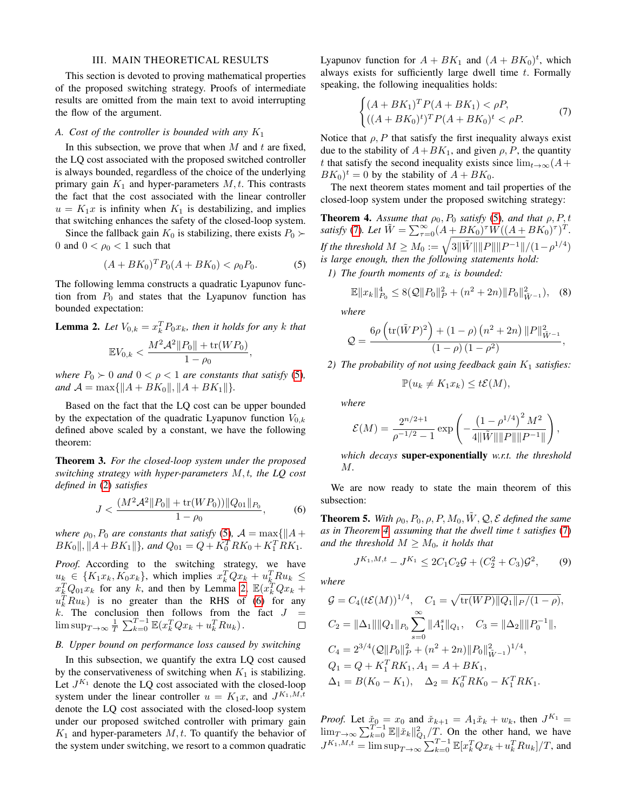## III. MAIN THEORETICAL RESULTS

<span id="page-3-0"></span>This section is devoted to proving mathematical properties of the proposed switching strategy. Proofs of intermediate results are omitted from the main text to avoid interrupting the flow of the argument.

### *A. Cost of the controller is bounded with any* K<sup>1</sup>

In this subsection, we prove that when  $M$  and  $t$  are fixed, the LQ cost associated with the proposed switched controller is always bounded, regardless of the choice of the underlying primary gain  $K_1$  and hyper-parameters  $M, t$ . This contrasts the fact that the cost associated with the linear controller  $u = K_1x$  is infinity when  $K_1$  is destabilizing, and implies that switching enhances the safety of the closed-loop system.

Since the fallback gain  $K_0$  is stabilizing, there exists  $P_0 \succ$ 0 and  $0 < \rho_0 < 1$  such that

<span id="page-3-2"></span>
$$
(A + BK_0)^T P_0 (A + BK_0) < \rho_0 P_0. \tag{5}
$$

The following lemma constructs a quadratic Lyapunov function from  $P_0$  and states that the Lyapunov function has bounded expectation:

<span id="page-3-3"></span>**Lemma 2.** Let  $V_{0,k} = x_k^T P_0 x_k$ , then it holds for any k that  $M^2$   $\Lambda$ <sup>2</sup> $\parallel$   $\rightarrow$   $\mu$ <sup>2</sup> $\parallel$   $\rightarrow$   $\mu$ <sup>2</sup> $\rightarrow$ 

$$
\mathbb{E}V_{0,k} < \frac{M^2 \mathcal{A}^2 \|F_0\| + \text{tr}(W F_0)}{1 - \rho_0},
$$

*where*  $P_0 \succ 0$  *and*  $0 < \rho < 1$  *are constants that satisfy* [\(5\)](#page-3-2)*, and*  $\mathcal{A} = \max\{\|A + BK_0\|, \|A + BK_1\|\}.$ 

Based on the fact that the LQ cost can be upper bounded by the expectation of the quadratic Lyapunov function  $V_{0,k}$ defined above scaled by a constant, we have the following theorem:

Theorem 3. *For the closed-loop system under the proposed switching strategy with hyper-parameters* M, t*, the LQ cost defined in* [\(2\)](#page-1-4) *satisfies*

<span id="page-3-4"></span>
$$
J < \frac{(M^2\mathcal{A}^2\|P_0\| + \text{tr}(WP_0))\|Q_{01}\|_{P_0}}{1 - \rho_0},\tag{6}
$$

*where*  $\rho_0$ ,  $P_0$  *are constants that satisfy* [\(5\)](#page-3-2),  $\mathcal{A} = \max\{||A + \rho||\}$  $BK_0 \|, \|A+BK_1\|\},$  and  $Q_{01} = Q + K_0^T R K_0 + K_1^T R K_1.$ 

*Proof.* According to the switching strategy, we have  $u_k \in \{K_1x_k, K_0x_k\}$ , which implies  $x_k^T Q x_k + u_k^T R u_k \le$  $x_k^T Q_{01} x_k$  for any k, and then by Lemma [2,](#page-3-3)  $\mathbb{E}(x_k^T Q x_k +$  $u_k^T R u_k$ ) is no greater than the RHS of [\(6\)](#page-3-4) for any k. The conclusion then follows from the fact  $J =$  $\limsup_{T \to \infty} \frac{1}{T} \sum_{k=0}^{T-1} \mathbb{E}(x_k^T Q x_k + u_k^T R u_k).$  $\Box$ 

# <span id="page-3-1"></span>*B. Upper bound on performance loss caused by switching*

In this subsection, we quantify the extra LQ cost caused by the conservativeness of switching when  $K_1$  is stabilizing. Let  $J^{K_1}$  denote the LQ cost associated with the closed-loop system under the linear controller  $u = K_1x$ , and  $J^{K_1,M,t}$ denote the LQ cost associated with the closed-loop system under our proposed switched controller with primary gain  $K_1$  and hyper-parameters  $M, t$ . To quantify the behavior of the system under switching, we resort to a common quadratic

Lyapunov function for  $A + BK_1$  and  $(A + BK_0)^t$ , which always exists for sufficiently large dwell time  $t$ . Formally speaking, the following inequalities holds:

<span id="page-3-5"></span>
$$
\begin{cases} (A + BK_1)^T P(A + BK_1) < \rho P, \\ \left( (A + BK_0)^t \right)^T P(A + BK_0)^t < \rho P. \end{cases} \tag{7}
$$

Notice that  $\rho$ , P that satisfy the first inequality always exist due to the stability of  $A+BK_1$ , and given  $\rho$ , P, the quantity t that satisfy the second inequality exists since  $\lim_{t\to\infty} (A+)$  $BK_0$ <sup>t</sup> = 0 by the stability of  $A + BK_0$ .

The next theorem states moment and tail properties of the closed-loop system under the proposed switching strategy:

**Theorem 4.** Assume that  $\rho_0$ ,  $P_0$  satisfy [\(5\)](#page-3-2), and that  $\rho$ ,  $P$ , t *satisfy* [\(7\)](#page-3-5). Let  $\tilde{W} = \sum_{\tau=0}^{\infty} (A + BK_0)^{\tau} W ((A + BK_0)^{\tau})^T$ . *If the threshold*  $M \geq M_0 := \sqrt{3\|\tilde{W}\|\|P\|\|P^{-1}\|}/(1-\rho^{1/4})$ *is large enough, then the following statements hold:*

*1) The fourth moments of*  $x_k$  *is bounded:* 

$$
\mathbb{E}||x_k||_{P_0}^4 \le 8(Q||P_0||_P^2 + (n^2 + 2n)||P_0||_{\tilde{W}^{-1}}^2), \quad (8)
$$

*where*

$$
Q = \frac{6\rho \left(\text{tr}(\tilde{W}P)^2\right) + (1-\rho)\left(n^2+2n\right) ||P||^2_{\tilde{W}^{-1}}}{(1-\rho)(1-\rho^2)},
$$

<span id="page-3-6"></span>2) *The probability of not using feedback gain*  $K_1$  *satisfies:* 

$$
\mathbb{P}(u_k \neq K_1 x_k) \leq t\mathcal{E}(M),
$$

*where*

$$
\mathcal{E}(M) = \frac{2^{n/2+1}}{\rho^{-1/2} - 1} \exp\left(-\frac{\left(1 - \rho^{1/4}\right)^2 M^2}{4\|\tilde{W}\| \|P\| \|P^{-1}\|}\right),\,
$$

*which decays* super-exponentially *w.r.t. the threshold* M*.*

We are now ready to state the main theorem of this subsection:

**Theorem 5.** With  $\rho_0$ ,  $P_0$ ,  $\rho$ ,  $P$ ,  $M_0$ ,  $\tilde{W}$ ,  $\mathcal{Q}$ ,  $\mathcal{E}$  defined the same *as in Theorem [4,](#page-3-6) assuming that the dwell time* t *satisfies* [\(7\)](#page-3-5) *and the threshold*  $M > M_0$ *, it holds that* 

<span id="page-3-7"></span>
$$
J^{K_1,M,t} - J^{K_1} \le 2C_1C_2\mathcal{G} + (C_2^2 + C_3)\mathcal{G}^2, \qquad (9)
$$

*where*

$$
G = C_4(t\mathcal{E}(M))^{1/4}, \quad C_1 = \sqrt{\text{tr}(WP) ||Q_1||_P/(1-\rho)},
$$
  
\n
$$
C_2 = ||\Delta_1|| ||Q_1||_{P_0} \sum_{s=0}^{\infty} ||A_1^s||_{Q_1}, \quad C_3 = ||\Delta_2|| ||P_0^{-1}||,
$$
  
\n
$$
C_4 = 2^{3/4} (Q||P_0||_P^2 + (n^2 + 2n)||P_0||_{\tilde{W}^{-1}}^2)^{1/4},
$$
  
\n
$$
Q_1 = Q + K_1^T R K_1, A_1 = A + BK_1,
$$
  
\n
$$
\Delta_1 = B(K_0 - K_1), \quad \Delta_2 = K_0^T R K_0 - K_1^T R K_1.
$$

*Proof.* Let  $\check{x}_0 = x_0$  and  $\check{x}_{k+1} = A_1 \check{x}_k + w_k$ , then  $J^{K_1} =$  $\lim_{T\to\infty}\sum_{k=0}^{T-1}\mathbb{E}\|\check{x}_k\|_{Q_1}^2/T$ . On the other hand, we have  $J^{K_1, M, t} = \limsup_{T \to \infty} \sum_{k=0}^{T-1} \mathbb{E}[x_k^T Q x_k + u_k^T R u_k]/T$ , and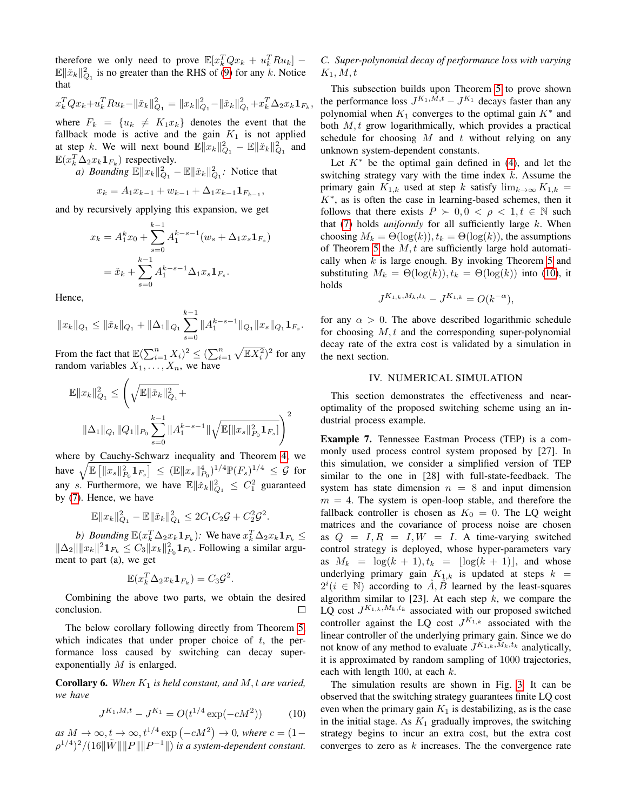therefore we only need to prove  $\mathbb{E}[x_k^T Q x_k + u_k^T R u_k]$  –  $\mathbb{E} \|\tilde{x}_k\|_{Q_1}^2$  is no greater than the RHS of [\(9\)](#page-3-7) for any  $k$ . Notice that

$$
x_k^T Q x_k + u_k^T R u_k - ||\tilde{x}_k||_{Q_1}^2 = ||x_k||_{Q_1}^2 - ||\tilde{x}_k||_{Q_1}^2 + x_k^T \Delta_2 x_k \mathbf{1}_{F_k}
$$

,

where  $F_k = \{u_k \neq K_1x_k\}$  denotes the event that the fallback mode is active and the gain  $K_1$  is not applied at step k. We will next bound  $\mathbb{E} \|x_k\|_{Q_1}^2 - \mathbb{E} \|\tilde{x}_k\|_{Q_1}^2$  and  $\mathbb{E}(x_k^T \Delta_2 x_k \mathbf{1}_{F_k})$  respectively.

*a)* Bounding  $\mathbb{E} \|x_k\|_{Q_1}^2 - \mathbb{E} \|\tilde{x}_k\|_{Q_1}^2$ : Notice that

$$
x_k = A_1 x_{k-1} + w_{k-1} + \Delta_1 x_{k-1} \mathbf{1}_{F_{k-1}},
$$

and by recursively applying this expansion, we get

$$
x_k = A_1^k x_0 + \sum_{s=0}^{k-1} A_1^{k-s-1} (w_s + \Delta_1 x_s \mathbf{1}_{F_s})
$$
  
=  $\tilde{x}_k + \sum_{s=0}^{k-1} A_1^{k-s-1} \Delta_1 x_s \mathbf{1}_{F_s}.$ 

Hence,

$$
||x_k||_{Q_1} \le ||\check{x}_k||_{Q_1} + ||\Delta_1||_{Q_1} \sum_{s=0}^{k-1} ||A_1^{k-s-1}||_{Q_1} ||x_s||_{Q_1} \mathbf{1}_{F_s}.
$$

From the fact that  $\mathbb{E}(\sum_{i=1}^n X_i)^2 \leq (\sum_{i=1}^n \sqrt{\mathbb{E}X_i^2})^2$  for any random variables  $X_1, \ldots, X_n$ , we have

$$
\mathbb{E}||x_k||_{Q_1}^2 \le \left(\sqrt{\mathbb{E}||\check{x}_k||_{Q_1}^2} + \|\Delta_1\|_{Q_1} ||Q_1||_{P_0} \sum_{s=0}^{k-1} ||A_1^{k-s-1}||\sqrt{\mathbb{E}[\|x_s\|_{P_0}^2 \mathbf{1}_{F_s}]} \right)^2
$$

where by Cauchy-Schwarz inequality and Theorem [4,](#page-3-6) we have  $\sqrt{\mathbb{E} [||x_s||_{P_0}^2 \mathbf{1}_{F_s}]} \leq (\mathbb{E}||x_s||_{P_0}^4)^{1/4} \mathbb{P}(F_s)^{1/4} \leq \mathcal{G}$  for any s. Furthermore, we have  $\mathbb{E} \|\tilde{x}_k\|_{Q_1}^2 \leq C_1^2$  guaranteed by [\(7\)](#page-3-5). Hence, we have

$$
\mathbb{E} \|x_k\|_{Q_1}^2 - \mathbb{E} \|\check{x}_k\|_{Q_1}^2 \le 2C_1C_2\mathcal{G} + C_2^2\mathcal{G}^2.
$$

*b*) *Bounding*  $\mathbb{E}(x_k^T \Delta_2 x_k \mathbf{1}_{F_k})$ *:* We have  $x_k^T \Delta_2 x_k \mathbf{1}_{F_k} \le$  $\|\Delta_2\|\|x_k\|^2\mathbf{1}_{F_k} \leq C_3\|x_k\|_{P_0}^2\mathbf{1}_{F_k}$ . Following a similar argument to part (a), we get

$$
\mathbb{E}(x_k^T \Delta_2 x_k \mathbf{1}_{F_k}) = C_3 \mathcal{G}^2.
$$

Combining the above two parts, we obtain the desired conclusion. □

The below corollary following directly from Theorem [5,](#page-3-7) which indicates that under proper choice of  $t$ , the performance loss caused by switching can decay superexponentially M is enlarged.

**Corollary 6.** When  $K_1$  is held constant, and  $M$ , t are varied, *we have*

<span id="page-4-1"></span>
$$
J^{K_1, M, t} - J^{K_1} = O(t^{1/4} \exp(-cM^2))
$$
 (10)

 $as M \to \infty, t \to \infty, t^{1/4} \exp(-cM^2) \to 0$ , where  $c = (1 \rho^{1/4})^2/(16\|\tilde{W}\| \|P\| \|P^{-1}\|)$  is a system-dependent constant.

# *C. Super-polynomial decay of performance loss with varying*  $K_1, M, t$

This subsection builds upon Theorem [5](#page-3-7) to prove shown the performance loss  $J^{K_1,M,t} - J^{K_1}$  decays faster than any polynomial when  $K_1$  converges to the optimal gain  $K^*$  and both  $M, t$  grow logarithmically, which provides a practical schedule for choosing  $M$  and  $t$  without relying on any unknown system-dependent constants.

Let  $K^*$  be the optimal gain defined in [\(4\)](#page-1-2), and let the switching strategy vary with the time index  $k$ . Assume the primary gain  $K_{1,k}$  used at step k satisfy  $\lim_{k\to\infty} K_{1,k}$  =  $K^*$ , as is often the case in learning-based schemes, then it follows that there exists  $P \succ 0, 0 < \rho < 1, t \in \mathbb{N}$  such that  $(7)$  holds *uniformly* for all sufficiently large  $k$ . When choosing  $M_k = \Theta(\log(k))$ ,  $t_k = \Theta(\log(k))$ , the assumptions of Theorem [5](#page-3-7) the  $M, t$  are sufficiently large hold automatically when  $k$  is large enough. By invoking Theorem [5](#page-3-7) and substituting  $M_k = \Theta(\log(k)), t_k = \Theta(\log(k))$  into [\(10\)](#page-4-1), it holds

$$
J^{K_{1,k},M_k,t_k} - J^{K_{1,k}} = O(k^{-\alpha}),
$$

for any  $\alpha > 0$ . The above described logarithmic schedule for choosing  $M, t$  and the corresponding super-polynomial decay rate of the extra cost is validated by a simulation in the next section.

## IV. NUMERICAL SIMULATION

<span id="page-4-0"></span>This section demonstrates the effectiveness and nearoptimality of the proposed switching scheme using an industrial process example.

Example 7. Tennessee Eastman Process (TEP) is a commonly used process control system proposed by [27]. In this simulation, we consider a simplified version of TEP similar to the one in [28] with full-state-feedback. The system has state dimension  $n = 8$  and input dimension  $m = 4$ . The system is open-loop stable, and therefore the fallback controller is chosen as  $K_0 = 0$ . The LQ weight matrices and the covariance of process noise are chosen as  $Q = I, R = I, W = I$ . A time-varying switched control strategy is deployed, whose hyper-parameters vary as  $M_k = \log(k + 1), t_k = \lfloor \log(k + 1) \rfloor$ , and whose underlying primary gain  $K_{1,k}$  is updated at steps  $k =$  $2^i (i \in \mathbb{N})$  according to  $\hat{A}, \hat{B}$  learned by the least-squares algorithm similar to [23]. At each step  $k$ , we compare the LQ cost  $J^{K_{1,k},M_k,t_k}$  associated with our proposed switched controller against the LQ cost  $J^{K_{1,k}}$  associated with the linear controller of the underlying primary gain. Since we do not know of any method to evaluate  $J^{K_{1,k},M_k,t_k}$  analytically, it is approximated by random sampling of 1000 trajectories, each with length 100, at each  $k$ .

The simulation results are shown in Fig. [3.](#page-5-1) It can be observed that the switching strategy guarantees finite LQ cost even when the primary gain  $K_1$  is destabilizing, as is the case in the initial stage. As  $K_1$  gradually improves, the switching strategy begins to incur an extra cost, but the extra cost converges to zero as  $k$  increases. The the convergence rate